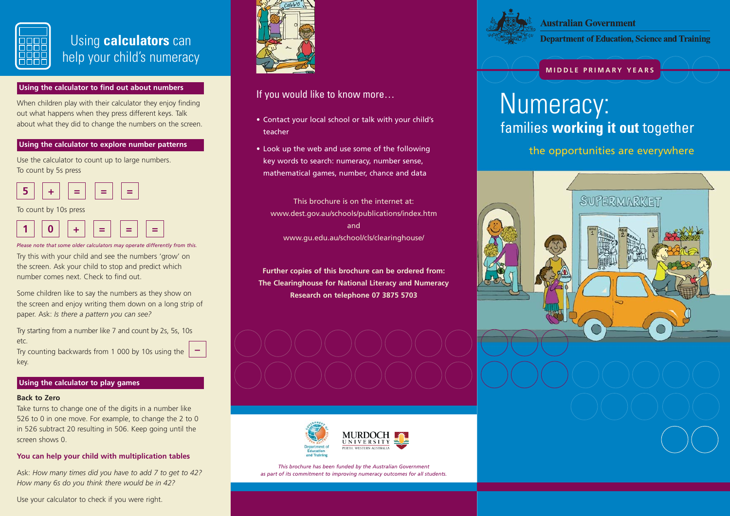

# Using **calculators** can help your child's numeracy

### **Using the calculator to find out about numbers**

When children play with their calculator they enjoy finding out what happens when they press different keys. Talk about what they did to change the numbers on the screen.

### **Using the calculator to explore number patterns**

Use the calculator to count up to large numbers. To count by 5s press



To count by 10s press



Try this with your child and see the numbers 'grow' on the screen. Ask your child to stop and predict which number comes next. Check to find out.*Please note that some older calculators may operate differently from this.*

Some children like to say the numbers as they show on the screen and enjoy writing them down on a long strip of paper. Ask: *Is there a pattern you can see?*

Try starting from a number like 7 and count by 2s, 5s, 10s etc.

Try counting backwards from 1 000 by 10s using the key.

### **Using the calculator to play games**

#### **Back to Zero**

Take turns to change one of the digits in a number like 526 to 0 in one move. For example, to change the 2 to 0 in 526 subtract 20 resulting in 506. Keep going until the screen shows 0.

### **You can help your child with multiplication tables**

Ask: *How many times did you have to add 7 to get to 42? How many 6s do you think there would be in 42?*

Use your calculator to check if you were right.



### If you would like to know more…

- Contact your local school or talk with your child's teacher
- Look up the web and use some of the following key words to search: numeracy, number sense, mathematical games, number, chance and data

This brochure is on the internet at:www.dest.gov.au/schools/publications/index.htm andwww.gu.edu.au/school/cls/clearinghouse/

**Further copies of this brochure can be ordered from: The Clearinghouse for National Literacy and Numeracy Research on telephone 07 3875 5703**







**Australian Government Department of Education, Science and Training** 

### **MIDDLE PRIMARY YEARS**

# families **working it out** together Numeracy:

the opportunities are everywhere

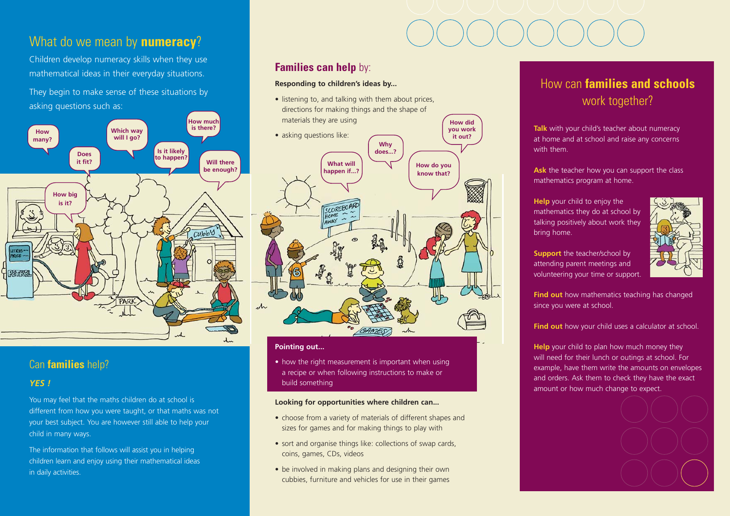## What do we mean by **numeracy**?

Children develop numeracy skills when they use mathematical ideas in their everyday situations.

They begin to make sense of these situations by asking questions such as:



### Can **families** help?

### *YES !*

You may feel that the maths children do at school is different from how you were taught, or that maths was not your best subject. You are however still able to help your child in many ways.

The information that follows will assist you in helping children learn and enjoy using their mathematical ideas in daily activities.

### **Families can help** by:

### **Responding to children's ideas by...**

• listening to, and talking with them about prices, directions for making things and the shape of materials they are using



**How did** 

#### **Pointing out...**

• how the right measurement is important when using a recipe or when following instructions to make or build something

#### **Looking for opportunities where children can...**

- choose from a variety of materials of different shapes and sizes for games and for making things to play with
- sort and organise things like: collections of swap cards, coins, games, CDs, videos
- be involved in making plans and designing their own cubbies, furniture and vehicles for use in their games

# How can **families and schools** work together?

**Talk** with your child's teacher about numeracy at home and at school and raise any concerns with them.

Ask the teacher how you can support the class mathematics program at home.

**Help** your child to enjoy the mathematics they do at school by talking positively about work they bring home.



**Support** the teacher/school by attending parent meetings and volunteering your time or support.

**Find out** how mathematics teaching has changed since you were at school.

### Find out how your child uses a calculator at school.

**Help** your child to plan how much money they will need for their lunch or outings at school. For example, have them write the amounts on envelopes and orders. Ask them to check they have the exact amount or how much change to expect.

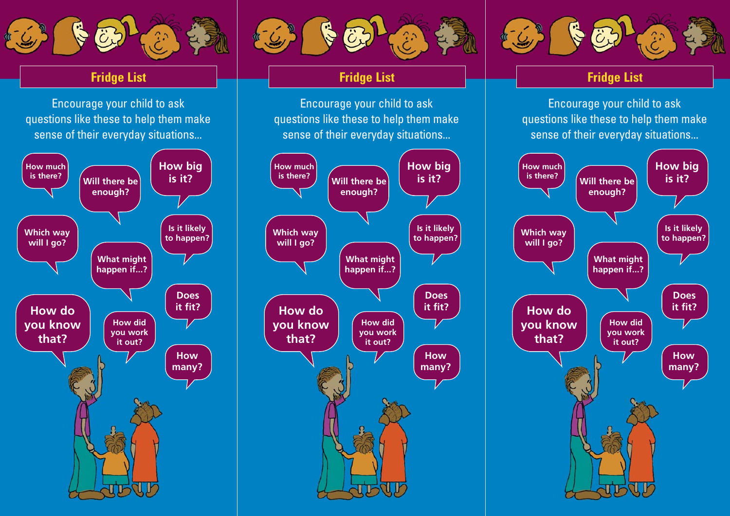

# **Fridge List**

Encourage your child to ask questions like these to help them make sense of their everyday situations...





# **Fridge List**

Encourage your child to ask questions like these to help them make sense of their everyday situations...





# **Fridge List**

Encourage your child to ask questions like these to help them make sense of their everyday situations...